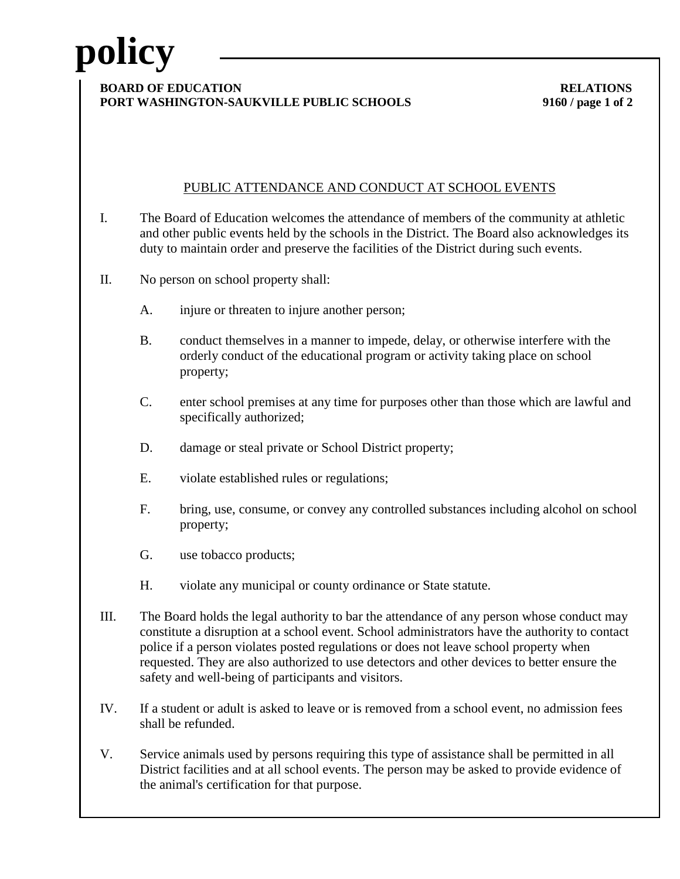# **policy**

#### **BOARD OF EDUCATION RELATIONS PORT WASHINGTON-SAUKVILLE PUBLIC SCHOOLS 9160 / page 1 of 2**

## PUBLIC ATTENDANCE AND CONDUCT AT SCHOOL EVENTS

- I. The Board of Education welcomes the attendance of members of the community at athletic and other public events held by the schools in the District. The Board also acknowledges its duty to maintain order and preserve the facilities of the District during such events.
- II. No person on school property shall:
	- A. injure or threaten to injure another person;
	- B. conduct themselves in a manner to impede, delay, or otherwise interfere with the orderly conduct of the educational program or activity taking place on school property;
	- C. enter school premises at any time for purposes other than those which are lawful and specifically authorized;
	- D. damage or steal private or School District property;
	- E. violate established rules or regulations;
	- F. bring, use, consume, or convey any controlled substances including alcohol on school property;
	- G. use tobacco products;
	- H. violate any municipal or county ordinance or State statute.
- III. The Board holds the legal authority to bar the attendance of any person whose conduct may constitute a disruption at a school event. School administrators have the authority to contact police if a person violates posted regulations or does not leave school property when requested. They are also authorized to use detectors and other devices to better ensure the safety and well-being of participants and visitors.
- IV. If a student or adult is asked to leave or is removed from a school event, no admission fees shall be refunded.
- V. Service animals used by persons requiring this type of assistance shall be permitted in all District facilities and at all school events. The person may be asked to provide evidence of the animal's certification for that purpose.